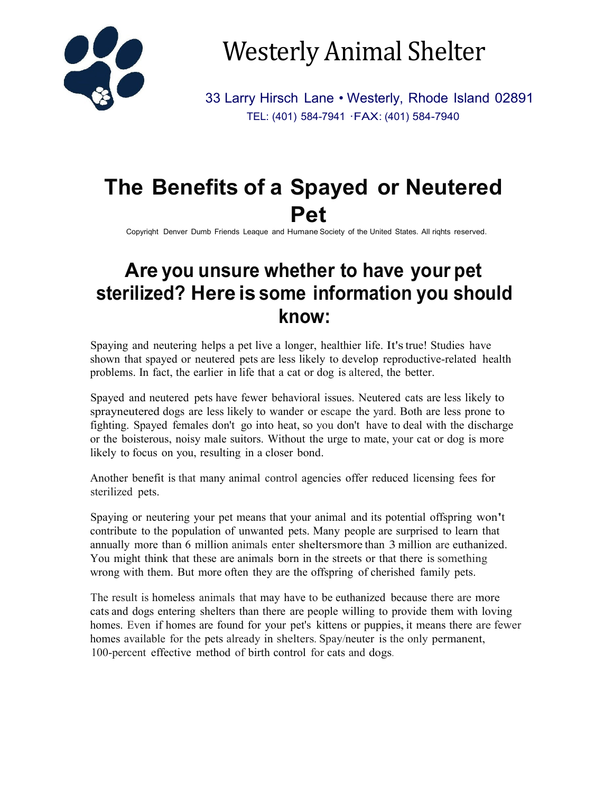

Westerly Animal Shelter

33 Larry Hirsch Lane • Westerly, Rhode Island 02891 TEL: (401) 584-7941 ·FAX: (401) 584-7940

# **The Benefits of a Spayed or Neutered Pet**

Copyriqht Denver Dumb Friends Leaque and Humane Society of the United States. All riqhts reserved.

## **Are you unsure whether to have your pet sterilized? Here is some information you should know:**

Spaying and neutering helps a pet live a longer, healthier life. It'strue! Studies have shown that spayed or neutered pets are less likely to develop reproductive-related health problems. In fact, the earlier in life that a cat or dog is altered, the better.

Spayed and neutered pets have fewer behavioral issues. Neutered cats are less likely to sprayneutered dogs are less likely to wander or escape the yard. Both are less prone to fighting. Spayed females don't go into heat, so you don't have to deal with the discharge or the boisterous, noisy male suitors. Without the urge to mate, your cat or dog is more likely to focus on you, resulting in a closer bond.

Another benefit is that many animal control agencies offer reduced licensing fees for sterilized pets.

Spaying or neutering your pet means that your animal and its potential offspring won't contribute to the population of unwanted pets. Many people are surprised to learn that annually more than 6 million animals enter sheltersmore than 3 million are euthanized. You might think that these are animals born in the streets or that there is something wrong with them. But more often they are the offspring of cherished family pets.

The result is homeless animals that may have to be euthanized because there are more cats and dogs entering shelters than there are people willing to provide them with loving homes. Even if homes are found for your pet's kittens or puppies, it means there are fewer homes available for the pets already in shelters. Spay/neuter is the only permanent, 100-percent effective method of birth control for cats and dogs.